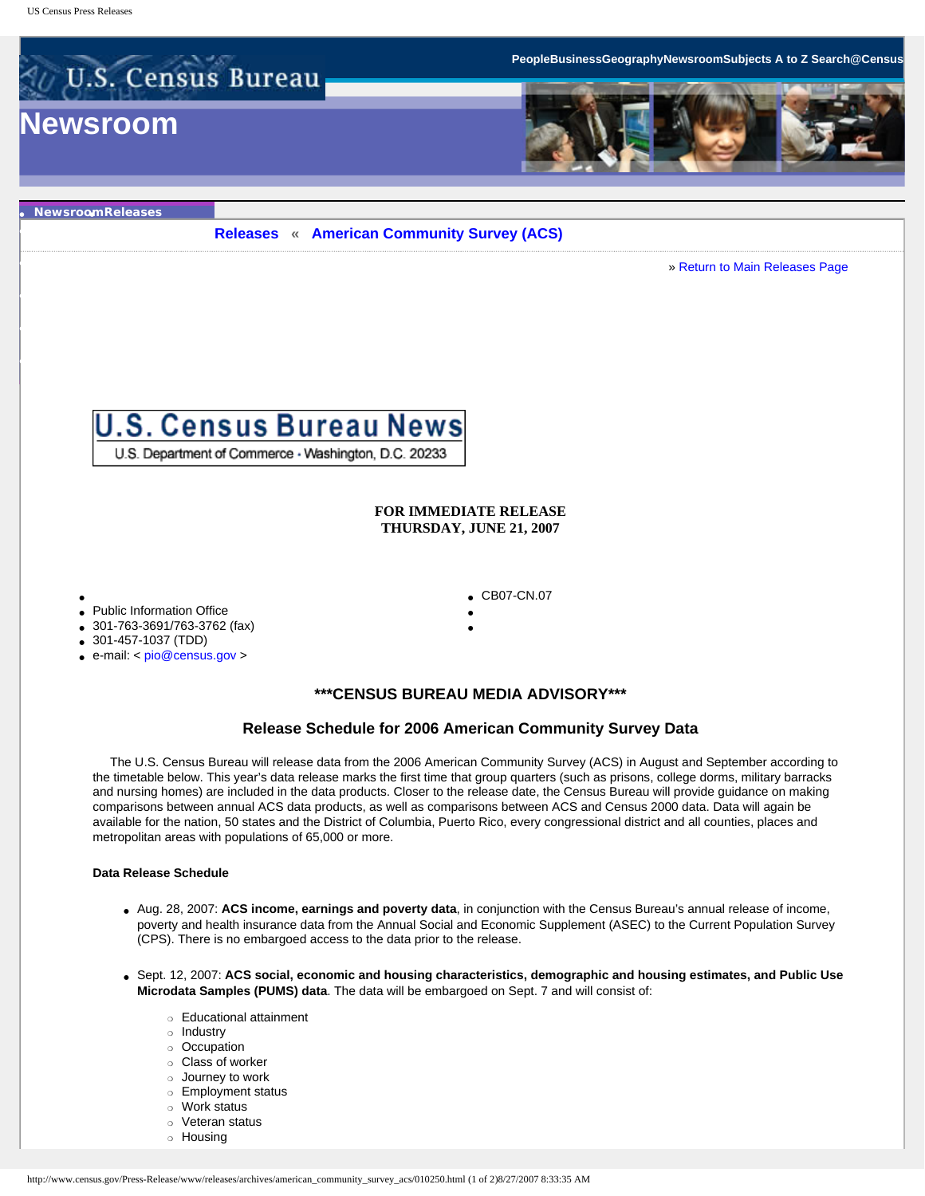

● **[Newsroom](http://www.census.gov/pubinfo/www/news/index.html)**● **[Releases](http://www.census.gov/Press-Release/www/releases/)**

● **[Facts for Features](http://www.census.gov/Press-Release/www/releases/archives/facts_for_features_special_editions/index.html)**

● **[Contact Newsroom](http://www.census.gov/pubinfo/www/newsroom_contacts.html)**

● **[Minority Links](http://www.census.gov/pubinfo/www/hotlinks.html)**

● **[Tip Sheets](http://www.census.gov/Press-Release/www/releases/archives/tip_sheets/index.html)**

● **[Broadcast & Photo Services](http://www.census.gov/pubinfo/www/broadcast/index.html)**

**[Releases](http://www.census.gov/Press-Release/www/releases/) « [American Community Survey \(ACS\)](http://www.census.gov/Press-Release/www/releases/archives/american_community_survey_acs/index.html)**

» [Return to Main Releases Page](http://www.census.gov/Press-Release/www/releases/)



U.S. Department of Commerce - Washington, D.C. 20233

## **FOR IMMEDIATE RELEASE THURSDAY, JUNE 21, 2007**

CB07-CN.07

- • Public Information Office
- 301-763-3691/763-3762 (fax)
- 
- 301-457-1037 (TDD)
- e-mail: < [pio@census.gov](mailto:pio@census.gov) >

## **\*\*\*CENSUS BUREAU MEDIA ADVISORY\*\*\***

● ●

# **Release Schedule for 2006 American Community Survey Data**

 The U.S. Census Bureau will release data from the 2006 American Community Survey (ACS) in August and September according to the timetable below. This year's data release marks the first time that group quarters (such as prisons, college dorms, military barracks and nursing homes) are included in the data products. Closer to the release date, the Census Bureau will provide guidance on making comparisons between annual ACS data products, as well as comparisons between ACS and Census 2000 data. Data will again be available for the nation, 50 states and the District of Columbia, Puerto Rico, every congressional district and all counties, places and metropolitan areas with populations of 65,000 or more.

### **Data Release Schedule**

- Aug. 28, 2007: **ACS income, earnings and poverty data**, in conjunction with the Census Bureau's annual release of income, poverty and health insurance data from the Annual Social and Economic Supplement (ASEC) to the Current Population Survey (CPS). There is no embargoed access to the data prior to the release.
- Sept. 12, 2007: **ACS social, economic and housing characteristics, demographic and housing estimates, and Public Use Microdata Samples (PUMS) data**. The data will be embargoed on Sept. 7 and will consist of:
	- ❍ Educational attainment
	- ❍ Industry
	- ❍ Occupation
	- ❍ Class of worker
	- ❍ Journey to work
	- ❍ Employment status
	- ❍ Work status
	- ❍ Veteran status
	- ❍ Housing